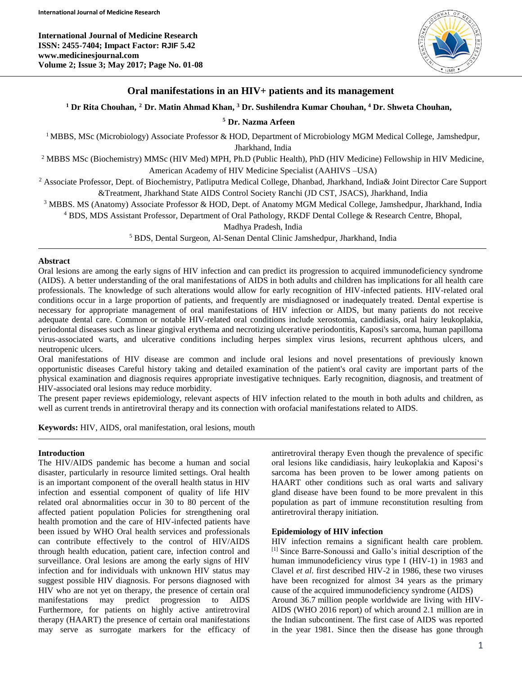**International Journal of Medicine Research ISSN: 2455-7404; Impact Factor: RJIF 5.42 www.medicinesjournal.com Volume 2; Issue 3; May 2017; Page No. 01-08**



# **Oral manifestations in an HIV+ patients and its management**

**<sup>1</sup> Dr Rita Chouhan, <sup>2</sup> Dr. Matin Ahmad Khan, <sup>3</sup> Dr. Sushilendra Kumar Chouhan, <sup>4</sup> Dr. Shweta Chouhan,**

**<sup>5</sup> Dr. Nazma Arfeen**

<sup>1</sup> MBBS, MSc (Microbiology) Associate Professor & HOD, Department of Microbiology MGM Medical College, Jamshedpur, Jharkhand, India

<sup>2</sup> MBBS MSc (Biochemistry) MMSc (HIV Med) MPH, Ph.D (Public Health), PhD (HIV Medicine) Fellowship in HIV Medicine, American Academy of HIV Medicine Specialist (AAHIVS –USA)

<sup>2</sup> Associate Professor, Dept. of Biochemistry, Patliputra Medical College, Dhanbad, Jharkhand, India& Joint Director Care Support &Treatment, Jharkhand State AIDS Control Society Ranchi (JD CST, JSACS), Jharkhand, India

<sup>3</sup> MBBS. MS (Anatomy) Associate Professor & HOD, Dept. of Anatomy MGM Medical College, Jamshedpur, Jharkhand, India

<sup>4</sup> BDS, MDS Assistant Professor, Department of Oral Pathology, RKDF Dental College & Research Centre, Bhopal,

Madhya Pradesh, India

<sup>5</sup> BDS, Dental Surgeon, Al-Senan Dental Clinic Jamshedpur, Jharkhand, India

### **Abstract**

Oral lesions are among the early signs of HIV infection and can predict its progression to acquired immunodeficiency syndrome (AIDS). A better understanding of the oral manifestations of AIDS in both adults and children has implications for all health care professionals. The knowledge of such alterations would allow for early recognition of HIV-infected patients. HIV-related oral conditions occur in a large proportion of patients, and frequently are misdiagnosed or inadequately treated. Dental expertise is necessary for appropriate management of oral manifestations of HIV infection or AIDS, but many patients do not receive adequate dental care. Common or notable HIV-related oral conditions include xerostomia, candidiasis, oral hairy leukoplakia, periodontal diseases such as linear gingival erythema and necrotizing ulcerative periodontitis, Kaposi's sarcoma, human papilloma virus-associated warts, and ulcerative conditions including herpes simplex virus lesions, recurrent aphthous ulcers, and neutropenic ulcers.

Oral manifestations of HIV disease are common and include oral lesions and novel presentations of previously known opportunistic diseases Careful history taking and detailed examination of the patient's oral cavity are important parts of the physical examination and diagnosis requires appropriate investigative techniques. Early recognition, diagnosis, and treatment of HIV-associated oral lesions may reduce morbidity.

The present paper reviews epidemiology, relevant aspects of HIV infection related to the mouth in both adults and children, as well as current trends in antiretroviral therapy and its connection with orofacial manifestations related to AIDS.

**Keywords:** HIV, AIDS, oral manifestation, oral lesions, mouth

### **Introduction**

The HIV/AIDS pandemic has become a human and social disaster, particularly in resource limited settings. Oral health is an important component of the overall health status in HIV infection and essential component of quality of life HIV related oral abnormalities occur in 30 to 80 percent of the affected patient population Policies for strengthening oral health promotion and the care of HIV-infected patients have been issued by WHO Oral health services and professionals can contribute effectively to the control of HIV/AIDS through health education, patient care, infection control and surveillance. Oral lesions are among the early signs of HIV infection and for individuals with unknown HIV status may suggest possible HIV diagnosis. For persons diagnosed with HIV who are not yet on therapy, the presence of certain oral manifestations may predict progression to AIDS Furthermore, for patients on highly active antiretroviral therapy (HAART) the presence of certain oral manifestations may serve as surrogate markers for the efficacy of antiretroviral therapy Even though the prevalence of specific oral lesions like candidiasis, hairy leukoplakia and Kaposi's sarcoma has been proven to be lower among patients on HAART other conditions such as oral warts and salivary gland disease have been found to be more prevalent in this population as part of immune reconstitution resulting from antiretroviral therapy initiation.

## **Epidemiology of HIV infection**

HIV infection remains a significant health care problem. [1] Since Barre-Sonoussi and Gallo's initial description of the human immunodeficiency virus type I (HIV-1) in 1983 and Clavel *et al*. first described HIV-2 in 1986, these two viruses have been recognized for almost 34 years as the primary cause of the acquired immunodeficiency syndrome (AIDS) Around 36.7 million people worldwide are living with HIV-AIDS (WHO 2016 report) of which around 2.1 million are in the Indian subcontinent. The first case of AIDS was reported in the year 1981. Since then the disease has gone through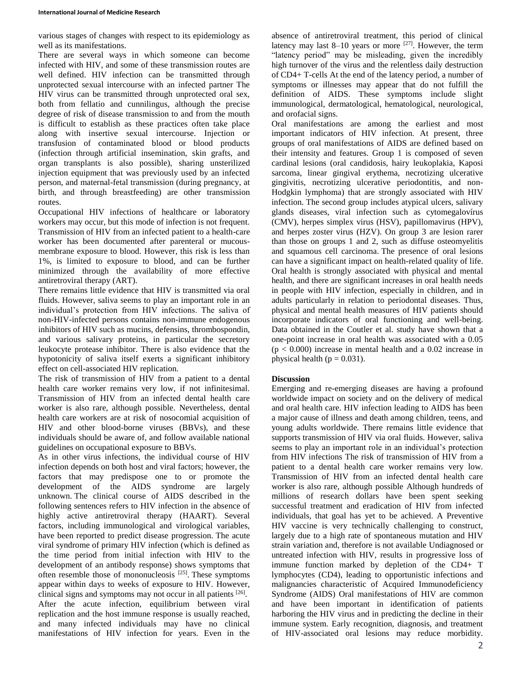various stages of changes with respect to its epidemiology as well as its manifestations.

There are several ways in which someone can become infected with HIV, and some of these transmission routes are well defined. HIV infection can be transmitted through unprotected sexual intercourse with an infected partner The HIV virus can be transmitted through unprotected oral sex, both from fellatio and cunnilingus, although the precise degree of risk of disease transmission to and from the mouth is difficult to establish as these practices often take place along with insertive sexual intercourse. Injection or transfusion of contaminated blood or blood products (infection through artificial insemination, skin grafts, and organ transplants is also possible), sharing unsterilized injection equipment that was previously used by an infected person, and maternal-fetal transmission (during pregnancy, at birth, and through breastfeeding) are other transmission routes.

Occupational HIV infections of healthcare or laboratory workers may occur, but this mode of infection is not frequent. Transmission of HIV from an infected patient to a health-care worker has been documented after parenteral or mucousmembrane exposure to blood. However, this risk is less than 1%, is limited to exposure to blood, and can be further minimized through the availability of more effective antiretroviral therapy (ART).

There remains little evidence that HIV is transmitted via oral fluids. However, saliva seems to play an important role in an individual's protection from HIV infections. The saliva of non-HIV-infected persons contains non-immune endogenous inhibitors of HIV such as mucins, defensins, thrombospondin, and various salivary proteins, in particular the secretory leukocyte protease inhibitor. There is also evidence that the hypotonicity of saliva itself exerts a significant inhibitory effect on cell-associated HIV replication.

The risk of transmission of HIV from a patient to a dental health care worker remains very low, if not infinitesimal. Transmission of HIV from an infected dental health care worker is also rare, although possible. Nevertheless, dental health care workers are at risk of nosocomial acquisition of HIV and other blood-borne viruses (BBVs), and these individuals should be aware of, and follow available national guidelines on occupational exposure to BBVs.

As in other virus infections, the individual course of HIV infection depends on both host and viral factors; however, the factors that may predispose one to or promote the development of the AIDS syndrome are largely unknown. The clinical course of AIDS described in the following sentences refers to HIV infection in the absence of highly active antiretroviral therapy (HAART). Several factors, including immunological and virological variables, have been reported to predict disease progression. The acute viral syndrome of primary HIV infection (which is defined as the time period from initial infection with HIV to the development of an antibody response) shows symptoms that often resemble those of mononucleosis  $^{[25]}$ . These symptoms appear within days to weeks of exposure to HIV. However, clinical signs and symptoms may not occur in all patients [26]. After the acute infection, equilibrium between viral replication and the host immune response is usually reached, and many infected individuals may have no clinical manifestations of HIV infection for years. Even in the

absence of antiretroviral treatment, this period of clinical latency may last  $8-10$  years or more  $^{[27]}$ . However, the term "latency period" may be misleading, given the incredibly high turnover of the virus and the relentless daily destruction of CD4+ T-cells At the end of the latency period, a number of symptoms or illnesses may appear that do not fulfill the definition of AIDS. These symptoms include slight immunological, dermatological, hematological, neurological, and orofacial signs.

Oral manifestations are among the earliest and most important indicators of HIV infection. At present, three groups of oral manifestations of AIDS are defined based on their intensity and features. Group 1 is composed of seven cardinal lesions (oral candidosis, hairy leukoplakia, Kaposi sarcoma, linear gingival erythema, necrotizing ulcerative gingivitis, necrotizing ulcerative periodontitis, and non-Hodgkin lymphoma) that are strongly associated with HIV infection. The second group includes atypical ulcers, salivary glands diseases, viral infection such as cytomegalovírus (CMV), herpes simplex virus (HSV), papillomavirus (HPV), and herpes zoster virus (HZV). On group 3 are lesion rarer than those on groups 1 and 2, such as diffuse osteomyelitis and squamous cell carcinoma. The presence of oral lesions can have a significant impact on health-related quality of life. Oral health is strongly associated with physical and mental health, and there are significant increases in oral health needs in people with HIV infection, especially in children, and in adults particularly in relation to periodontal diseases. Thus, physical and mental health measures of HIV patients should incorporate indicators of oral functioning and well-being. Data obtained in the Coutler et al. study have shown that a one-point increase in oral health was associated with a 0.05  $(p < 0.000)$  increase in mental health and a 0.02 increase in physical health ( $p = 0.031$ ).

# **Discussion**

Emerging and re-emerging diseases are having a profound worldwide impact on society and on the delivery of medical and oral health care. HIV infection leading to AIDS has been a major cause of illness and death among children, teens, and young adults worldwide. There remains little evidence that supports transmission of HIV via oral fluids. However, saliva seems to play an important role in an individual's protection from HIV infections The risk of transmission of HIV from a patient to a dental health care worker remains very low. Transmission of HIV from an infected dental health care worker is also rare, although possible Although hundreds of millions of research dollars have been spent seeking successful treatment and eradication of HIV from infected individuals, that goal has yet to be achieved. A Preventive HIV vaccine is very technically challenging to construct, largely due to a high rate of spontaneous mutation and HIV strain variation and, therefore is not available Undiagnosed or untreated infection with HIV, results in progressive loss of immune function marked by depletion of the CD4+ T lymphocytes (CD4), leading to opportunistic infections and malignancies characteristic of Acquired Immunodeficiency Syndrome (AIDS) Oral manifestations of HIV are common and have been important in identification of patients harboring the HIV virus and in predicting the decline in their immune system. Early recognition, diagnosis, and treatment of HIV-associated oral lesions may reduce morbidity.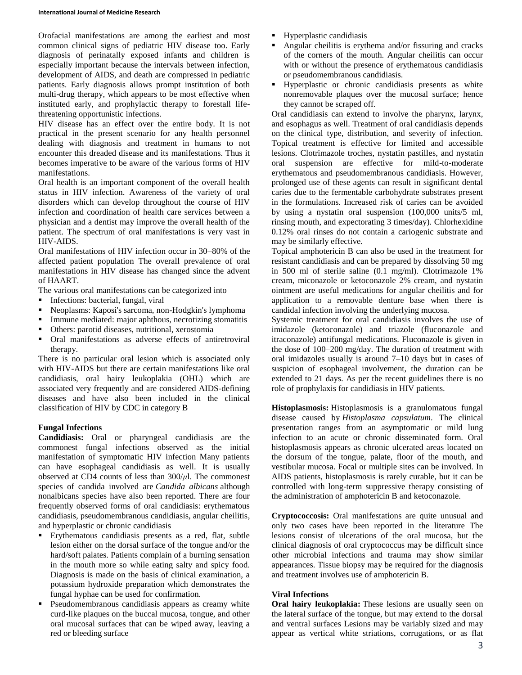Orofacial manifestations are among the earliest and most common clinical signs of pediatric HIV disease too. Early diagnosis of perinatally exposed infants and children is especially important because the intervals between infection, development of AIDS, and death are compressed in pediatric patients. Early diagnosis allows prompt institution of both multi-drug therapy, which appears to be most effective when instituted early, and prophylactic therapy to forestall lifethreatening opportunistic infections.

HIV disease has an effect over the entire body. It is not practical in the present scenario for any health personnel dealing with diagnosis and treatment in humans to not encounter this dreaded disease and its manifestations. Thus it becomes imperative to be aware of the various forms of HIV manifestations.

Oral health is an important component of the overall health status in HIV infection. Awareness of the variety of oral disorders which can develop throughout the course of HIV infection and coordination of health care services between a physician and a dentist may improve the overall health of the patient. The spectrum of oral manifestations is very vast in HIV-AIDS.

Oral manifestations of HIV infection occur in 30–80% of the affected patient population The overall prevalence of oral manifestations in HIV disease has changed since the advent of HAART.

The various oral manifestations can be categorized into

- **Infections: bacterial, fungal, viral**
- Neoplasms: Kaposi's sarcoma, non-Hodgkin's lymphoma
- Immune mediated: major aphthous, necrotizing stomatitis
- Others: parotid diseases, nutritional, xerostomia
- Oral manifestations as adverse effects of antiretroviral therapy.

There is no particular oral lesion which is associated only with HIV-AIDS but there are certain manifestations like oral candidiasis, oral hairy leukoplakia (OHL) which are associated very frequently and are considered AIDS-defining diseases and have also been included in the clinical classification of HIV by CDC in category B

## **Fungal Infections**

**Candidiasis:** Oral or pharyngeal candidiasis are the commonest fungal infections observed as the initial manifestation of symptomatic HIV infection Many patients can have esophageal candidiasis as well. It is usually observed at CD4 counts of less than 300/*μ*l. The commonest species of candida involved are *Candida albicans* although nonalbicans species have also been reported. There are four frequently observed forms of oral candidiasis: erythematous candidiasis, pseudomembranous candidiasis, angular cheilitis, and hyperplastic or chronic candidiasis

- Erythematous candidiasis presents as a red, flat, subtle lesion either on the dorsal surface of the tongue and/or the hard/soft palates. Patients complain of a burning sensation in the mouth more so while eating salty and spicy food. Diagnosis is made on the basis of clinical examination, a potassium hydroxide preparation which demonstrates the fungal hyphae can be used for confirmation.
- Pseudomembranous candidiasis appears as creamy white curd-like plaques on the buccal mucosa, tongue, and other oral mucosal surfaces that can be wiped away, leaving a red or bleeding surface
- Hyperplastic candidiasis
- Angular cheilitis is erythema and/or fissuring and cracks of the corners of the mouth. Angular cheilitis can occur with or without the presence of erythematous candidiasis or pseudomembranous candidiasis.
- Hyperplastic or chronic candidiasis presents as white nonremovable plaques over the mucosal surface; hence they cannot be scraped off.

Oral candidiasis can extend to involve the pharynx, larynx, and esophagus as well. Treatment of oral candidiasis depends on the clinical type, distribution, and severity of infection. Topical treatment is effective for limited and accessible lesions. Clotrimazole troches, nystatin pastilles, and nystatin oral suspension are effective for mild-to-moderate erythematous and pseudomembranous candidiasis. However, prolonged use of these agents can result in significant dental caries due to the fermentable carbohydrate substrates present in the formulations. Increased risk of caries can be avoided by using a nystatin oral suspension (100,000 units/5 ml, rinsing mouth, and expectorating 3 times/day). Chlorhexidine 0.12% oral rinses do not contain a cariogenic substrate and may be similarly effective.

Topical amphotericin B can also be used in the treatment for resistant candidiasis and can be prepared by dissolving 50 mg in 500 ml of sterile saline (0.1 mg/ml). Clotrimazole 1% cream, miconazole or ketoconazole 2% cream, and nystatin ointment are useful medications for angular cheilitis and for application to a removable denture base when there is candidal infection involving the underlying mucosa.

Systemic treatment for oral candidiasis involves the use of imidazole (ketoconazole) and triazole (fluconazole and itraconazole) antifungal medications. Fluconazole is given in the dose of 100–200 mg/day. The duration of treatment with oral imidazoles usually is around 7–10 days but in cases of suspicion of esophageal involvement, the duration can be extended to 21 days. As per the recent guidelines there is no role of prophylaxis for candidiasis in HIV patients.

**Histoplasmosis:** Histoplasmosis is a granulomatous fungal disease caused by *Histoplasma capsulatum*. The clinical presentation ranges from an asymptomatic or mild lung infection to an acute or chronic disseminated form. Oral histoplasmosis appears as chronic ulcerated areas located on the dorsum of the tongue, palate, floor of the mouth, and vestibular mucosa. Focal or multiple sites can be involved. In AIDS patients, histoplasmosis is rarely curable, but it can be controlled with long-term suppressive therapy consisting of the administration of amphotericin B and ketoconazole.

**Cryptococcosis:** Oral manifestations are quite unusual and only two cases have been reported in the literature The lesions consist of ulcerations of the oral mucosa, but the clinical diagnosis of oral cryptococcus may be difficult since other microbial infections and trauma may show similar appearances. Tissue biopsy may be required for the diagnosis and treatment involves use of amphotericin B.

## **Viral Infections**

**Oral hairy leukoplakia:** These lesions are usually seen on the lateral surface of the tongue, but may extend to the dorsal and ventral surfaces Lesions may be variably sized and may appear as vertical white striations, corrugations, or as flat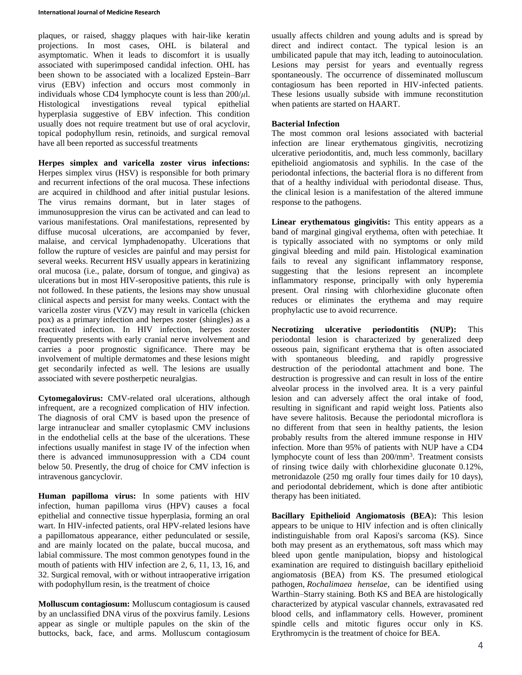plaques, or raised, shaggy plaques with hair-like keratin projections. In most cases, OHL is bilateral and asymptomatic. When it leads to discomfort it is usually associated with superimposed candidal infection. OHL has been shown to be associated with a localized Epstein–Barr virus (EBV) infection and occurs most commonly in individuals whose CD4 lymphocyte count is less than 200/*μ*l. Histological investigations reveal typical epithelial hyperplasia suggestive of EBV infection. This condition usually does not require treatment but use of oral acyclovir, topical podophyllum resin, retinoids, and surgical removal have all been reported as successful treatments

**Herpes simplex and varicella zoster virus infections:** Herpes simplex virus (HSV) is responsible for both primary and recurrent infections of the oral mucosa. These infections are acquired in childhood and after initial pustular lesions. The virus remains dormant, but in later stages of immunosuppresion the virus can be activated and can lead to various manifestations. Oral manifestations, represented by diffuse mucosal ulcerations, are accompanied by fever, malaise, and cervical lymphadenopathy. Ulcerations that follow the rupture of vesicles are painful and may persist for several weeks. Recurrent HSV usually appears in keratinizing oral mucosa (i.e., palate, dorsum of tongue, and gingiva) as ulcerations but in most HIV-seropositive patients, this rule is not followed. In these patients, the lesions may show unusual clinical aspects and persist for many weeks. Contact with the varicella zoster virus (VZV) may result in varicella (chicken pox) as a primary infection and herpes zoster (shingles) as a reactivated infection. In HIV infection, herpes zoster frequently presents with early cranial nerve involvement and carries a poor prognostic significance. There may be involvement of multiple dermatomes and these lesions might get secondarily infected as well. The lesions are usually associated with severe postherpetic neuralgias.

**Cytomegalovirus:** CMV-related oral ulcerations, although infrequent, are a recognized complication of HIV infection. The diagnosis of oral CMV is based upon the presence of large intranuclear and smaller cytoplasmic CMV inclusions in the endothelial cells at the base of the ulcerations. These infections usually manifest in stage IV of the infection when there is advanced immunosuppression with a CD4 count below 50. Presently, the drug of choice for CMV infection is intravenous gancyclovir.

**Human papilloma virus:** In some patients with HIV infection, human papilloma virus (HPV) causes a focal epithelial and connective tissue hyperplasia, forming an oral wart. In HIV-infected patients, oral HPV-related lesions have a papillomatous appearance, either pedunculated or sessile, and are mainly located on the palate, buccal mucosa, and labial commissure. The most common genotypes found in the mouth of patients with HIV infection are 2, 6, 11, 13, 16, and 32. Surgical removal, with or without intraoperative irrigation with podophyllum resin, is the treatment of choice

**Molluscum contagiosum:** Molluscum contagiosum is caused by an unclassified DNA virus of the poxvirus family. Lesions appear as single or multiple papules on the skin of the buttocks, back, face, and arms. Molluscum contagiosum usually affects children and young adults and is spread by direct and indirect contact. The typical lesion is an umbilicated papule that may itch, leading to autoinoculation. Lesions may persist for years and eventually regress spontaneously. The occurrence of disseminated molluscum contagiosum has been reported in HIV-infected patients. These lesions usually subside with immune reconstitution when patients are started on HAART.

## **Bacterial Infection**

The most common oral lesions associated with bacterial infection are linear erythematous gingivitis, necrotizing ulcerative periodontitis, and, much less commonly, bacillary epithelioid angiomatosis and syphilis. In the case of the periodontal infections, the bacterial flora is no different from that of a healthy individual with periodontal disease. Thus, the clinical lesion is a manifestation of the altered immune response to the pathogens.

**Linear erythematous gingivitis:** This entity appears as a band of marginal gingival erythema, often with petechiae. It is typically associated with no symptoms or only mild gingival bleeding and mild pain. Histological examination fails to reveal any significant inflammatory response, suggesting that the lesions represent an incomplete inflammatory response, principally with only hyperemia present. Oral rinsing with chlorhexidine gluconate often reduces or eliminates the erythema and may require prophylactic use to avoid recurrence.

**Necrotizing ulcerative periodontitis (NUP):** This periodontal lesion is characterized by generalized deep osseous pain, significant erythema that is often associated with spontaneous bleeding, and rapidly progressive destruction of the periodontal attachment and bone. The destruction is progressive and can result in loss of the entire alveolar process in the involved area. It is a very painful lesion and can adversely affect the oral intake of food, resulting in significant and rapid weight loss. Patients also have severe halitosis. Because the periodontal microflora is no different from that seen in healthy patients, the lesion probably results from the altered immune response in HIV infection. More than 95% of patients with NUP have a CD4 lymphocyte count of less than 200/mm<sup>3</sup>. Treatment consists of rinsing twice daily with chlorhexidine gluconate 0.12%, metronidazole (250 mg orally four times daily for 10 days), and periodontal debridement, which is done after antibiotic therapy has been initiated.

**Bacillary Epithelioid Angiomatosis (BEA**)**:** This lesion appears to be unique to HIV infection and is often clinically indistinguishable from oral Kaposi's sarcoma (KS). Since both may present as an erythematous, soft mass which may bleed upon gentle manipulation, biopsy and histological examination are required to distinguish bacillary epithelioid angiomatosis (BEA) from KS. The presumed etiological pathogen, *Rochalimaea henselae*, can be identified using Warthin–Starry staining. Both KS and BEA are histologically characterized by atypical vascular channels, extravasated red blood cells, and inflammatory cells. However, prominent spindle cells and mitotic figures occur only in KS. Erythromycin is the treatment of choice for BEA.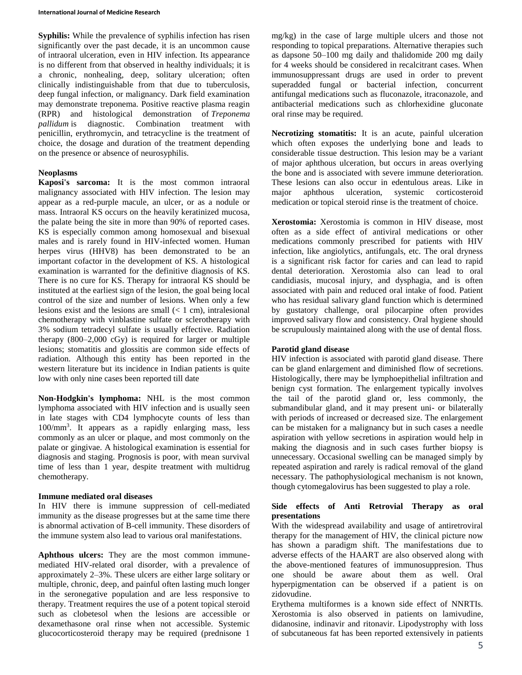#### **International Journal of Medicine Research**

**Syphilis:** While the prevalence of syphilis infection has risen significantly over the past decade, it is an uncommon cause of intraoral ulceration, even in HIV infection. Its appearance is no different from that observed in healthy individuals; it is a chronic, nonhealing, deep, solitary ulceration; often clinically indistinguishable from that due to tuberculosis, deep fungal infection, or malignancy. Dark field examination may demonstrate treponema. Positive reactive plasma reagin (RPR) and histological demonstration of *Treponema pallidum* is diagnostic. Combination treatment with penicillin, erythromycin, and tetracycline is the treatment of choice, the dosage and duration of the treatment depending on the presence or absence of neurosyphilis.

## **Neoplasms**

**Kaposi's sarcoma:** It is the most common intraoral malignancy associated with HIV infection. The lesion may appear as a red-purple macule, an ulcer, or as a nodule or mass. Intraoral KS occurs on the heavily keratinized mucosa, the palate being the site in more than 90% of reported cases. KS is especially common among homosexual and bisexual males and is rarely found in HIV-infected women. Human herpes virus (HHV8) has been demonstrated to be an important cofactor in the development of KS. A histological examination is warranted for the definitive diagnosis of KS. There is no cure for KS. Therapy for intraoral KS should be instituted at the earliest sign of the lesion, the goal being local control of the size and number of lesions. When only a few lesions exist and the lesions are small (< 1 cm), intralesional chemotherapy with vinblastine sulfate or sclerotherapy with 3% sodium tetradecyl sulfate is usually effective. Radiation therapy  $(800-2,000 \text{ cGy})$  is required for larger or multiple lesions; stomatitis and glossitis are common side effects of radiation. Although this entity has been reported in the western literature but its incidence in Indian patients is quite low with only nine cases been reported till date

**Non-Hodgkin's lymphoma:** NHL is the most common lymphoma associated with HIV infection and is usually seen in late stages with CD4 lymphocyte counts of less than 100/mm<sup>3</sup> . It appears as a rapidly enlarging mass, less commonly as an ulcer or plaque, and most commonly on the palate or gingivae. A histological examination is essential for diagnosis and staging. Prognosis is poor, with mean survival time of less than 1 year, despite treatment with multidrug chemotherapy.

## **Immune mediated oral diseases**

In HIV there is immune suppression of cell-mediated immunity as the disease progresses but at the same time there is abnormal activation of B-cell immunity. These disorders of the immune system also lead to various oral manifestations.

**Aphthous ulcers:** They are the most common immunemediated HIV-related oral disorder, with a prevalence of approximately 2–3%. These ulcers are either large solitary or multiple, chronic, deep, and painful often lasting much longer in the seronegative population and are less responsive to therapy. Treatment requires the use of a potent topical steroid such as clobetesol when the lesions are accessible or dexamethasone oral rinse when not accessible. Systemic glucocorticosteroid therapy may be required (prednisone 1

mg/kg) in the case of large multiple ulcers and those not responding to topical preparations. Alternative therapies such as dapsone 50–100 mg daily and thalidomide 200 mg daily for 4 weeks should be considered in recalcitrant cases. When immunosuppressant drugs are used in order to prevent superadded fungal or bacterial infection, concurrent antifungal medications such as fluconazole, itraconazole, and antibacterial medications such as chlorhexidine gluconate oral rinse may be required.

**Necrotizing stomatitis:** It is an acute, painful ulceration which often exposes the underlying bone and leads to considerable tissue destruction. This lesion may be a variant of major aphthous ulceration, but occurs in areas overlying the bone and is associated with severe immune deterioration. These lesions can also occur in edentulous areas. Like in major aphthous ulceration, systemic corticosteroid medication or topical steroid rinse is the treatment of choice.

**Xerostomia:** Xerostomia is common in HIV disease, most often as a side effect of antiviral medications or other medications commonly prescribed for patients with HIV infection, like angiolytics, antifungals, etc. The oral dryness is a significant risk factor for caries and can lead to rapid dental deterioration. Xerostomia also can lead to oral candidiasis, mucosal injury, and dysphagia, and is often associated with pain and reduced oral intake of food. Patient who has residual salivary gland function which is determined by gustatory challenge, oral pilocarpine often provides improved salivary flow and consistency. Oral hygiene should be scrupulously maintained along with the use of dental floss.

## **Parotid gland disease**

HIV infection is associated with parotid gland disease. There can be gland enlargement and diminished flow of secretions. Histologically, there may be lymphoepithelial infiltration and benign cyst formation. The enlargement typically involves the tail of the parotid gland or, less commonly, the submandibular gland, and it may present uni- or bilaterally with periods of increased or decreased size. The enlargement can be mistaken for a malignancy but in such cases a needle aspiration with yellow secretions in aspiration would help in making the diagnosis and in such cases further biopsy is unnecessary. Occasional swelling can be managed simply by repeated aspiration and rarely is radical removal of the gland necessary. The pathophysiological mechanism is not known, though cytomegalovirus has been suggested to play a role.

## **Side effects of Anti Retrovial Therapy as oral presentations**

With the widespread availability and usage of antiretroviral therapy for the management of HIV, the clinical picture now has shown a paradigm shift. The manifestations due to adverse effects of the HAART are also observed along with the above-mentioned features of immunosuppresion. Thus one should be aware about them as well. Oral hyperpigmentation can be observed if a patient is on zidovudine.

Erythema multiformes is a known side effect of NNRTIs. Xerostomia is also observed in patients on lamivudine, didanosine, indinavir and ritonavir. Lipodystrophy with loss of subcutaneous fat has been reported extensively in patients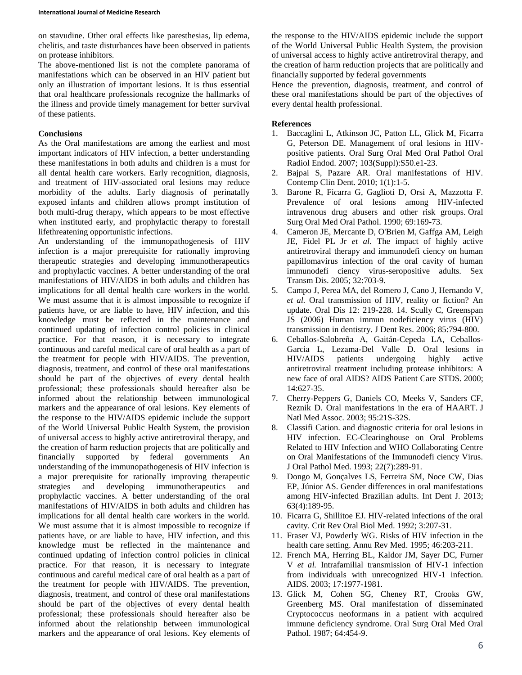on stavudine. Other oral effects like paresthesias, lip edema, chelitis, and taste disturbances have been observed in patients on protease inhibitors.

The above-mentioned list is not the complete panorama of manifestations which can be observed in an HIV patient but only an illustration of important lesions. It is thus essential that oral healthcare professionals recognize the hallmarks of the illness and provide timely management for better survival of these patients.

## **Conclusions**

As the Oral manifestations are among the earliest and most important indicators of HIV infection, a better understanding these manifestations in both adults and children is a must for all dental health care workers. Early recognition, diagnosis, and treatment of HIV-associated oral lesions may reduce morbidity of the adults. Early diagnosis of perinatally exposed infants and children allows prompt institution of both multi-drug therapy, which appears to be most effective when instituted early, and prophylactic therapy to forestall lifethreatening opportunistic infections.

An understanding of the immunopathogenesis of HIV infection is a major prerequisite for rationally improving therapeutic strategies and developing immunotherapeutics and prophylactic vaccines. A better understanding of the oral manifestations of HIV/AIDS in both adults and children has implications for all dental health care workers in the world. We must assume that it is almost impossible to recognize if patients have, or are liable to have, HIV infection, and this knowledge must be reflected in the maintenance and continued updating of infection control policies in clinical practice. For that reason, it is necessary to integrate continuous and careful medical care of oral health as a part of the treatment for people with HIV/AIDS. The prevention, diagnosis, treatment, and control of these oral manifestations should be part of the objectives of every dental health professional; these professionals should hereafter also be informed about the relationship between immunological markers and the appearance of oral lesions. Key elements of the response to the HIV/AIDS epidemic include the support of the World Universal Public Health System, the provision of universal access to highly active antiretroviral therapy, and the creation of harm reduction projects that are politically and financially supported by federal governments An understanding of the immunopathogenesis of HIV infection is a major prerequisite for rationally improving therapeutic strategies and developing immunotherapeutics and prophylactic vaccines. A better understanding of the oral manifestations of HIV/AIDS in both adults and children has implications for all dental health care workers in the world. We must assume that it is almost impossible to recognize if patients have, or are liable to have, HIV infection, and this knowledge must be reflected in the maintenance and continued updating of infection control policies in clinical practice. For that reason, it is necessary to integrate continuous and careful medical care of oral health as a part of the treatment for people with HIV/AIDS. The prevention, diagnosis, treatment, and control of these oral manifestations should be part of the objectives of every dental health professional; these professionals should hereafter also be informed about the relationship between immunological markers and the appearance of oral lesions. Key elements of

the response to the HIV/AIDS epidemic include the support of the World Universal Public Health System, the provision of universal access to highly active antiretroviral therapy, and the creation of harm reduction projects that are politically and financially supported by federal governments

Hence the prevention, diagnosis, treatment, and control of these oral manifestations should be part of the objectives of every dental health professional.

## **References**

- 1. Baccaglini L, Atkinson JC, Patton LL, Glick M, Ficarra G, Peterson DE. Management of oral lesions in HIVpositive patients. Oral Surg Oral Med Oral Pathol Oral Radiol Endod. 2007; 103(Suppl):S50.e1-23.
- 2. Bajpai S, Pazare AR. Oral manifestations of HIV. Contemp Clin Dent. 2010; 1(1):1-5.
- 3. Barone R, Ficarra G, Gaglioti D, Orsi A, Mazzotta F. Prevalence of oral lesions among HIV-infected intravenous drug abusers and other risk groups. Oral Surg Oral Med Oral Pathol. 1990; 69:169-73.
- 4. Cameron JE, Mercante D, O'Brien M, Gaffga AM, Leigh JE, Fidel PL Jr *et al.* The impact of highly active antiretroviral therapy and immunodefi ciency on human papillomavirus infection of the oral cavity of human immunodefi ciency virus-seropositive adults. Sex Transm Dis. 2005; 32:703-9.
- 5. Campo J, Perea MA, del Romero J, Cano J, Hernando V, *et al.* Oral transmission of HIV, reality or fiction? An update. Oral Dis 12: 219-228. 14. Scully C, Greenspan JS (2006) Human immun nodeficiency virus (HIV) transmission in dentistry. J Dent Res. 2006; 85:794-800.
- 6. Ceballos-Salobreña A, Gaitán-Cepeda LA, Ceballos-Garcia L, Lezama-Del Valle D. Oral lesions in HIV/AIDS patients undergoing highly active antiretroviral treatment including protease inhibitors: A new face of oral AIDS? AIDS Patient Care STDS. 2000; 14:627-35.
- 7. Cherry-Peppers G, Daniels CO, Meeks V, Sanders CF, Reznik D. Oral manifestations in the era of HAART. J Natl Med Assoc. 2003; 95:21S-32S.
- 8. Classifi Cation. and diagnostic criteria for oral lesions in HIV infection. EC-Clearinghouse on Oral Problems Related to HIV Infection and WHO Collaborating Centre on Oral Manifestations of the Immunodefi ciency Virus. J Oral Pathol Med. 1993; 22(7):289-91.
- 9. Dongo M, Gonçalves LS, Ferreira SM, Noce CW, Dias EP, Júnior AS. Gender differences in oral manifestations among HIV-infected Brazilian adults. Int Dent J. 2013; 63(4):189-95.
- 10. Ficarra G, Shillitoe EJ. HIV-related infections of the oral cavity. Crit Rev Oral Biol Med. 1992; 3:207-31.
- 11. Fraser VJ, Powderly WG. Risks of HIV infection in the health care setting. Annu Rev Med. 1995; 46:203-211.
- 12. French MA, Herring BL, Kaldor JM, Sayer DC, Furner V *et al.* Intrafamilial transmission of HIV-1 infection from individuals with unrecognized HIV-1 infection. AIDS. 2003; 17:1977-1981.
- 13. Glick M, Cohen SG, Cheney RT, Crooks GW, Greenberg MS. Oral manifestation of disseminated Cryptococcus neoformans in a patient with acquired immune deficiency syndrome. Oral Surg Oral Med Oral Pathol. 1987; 64:454-9.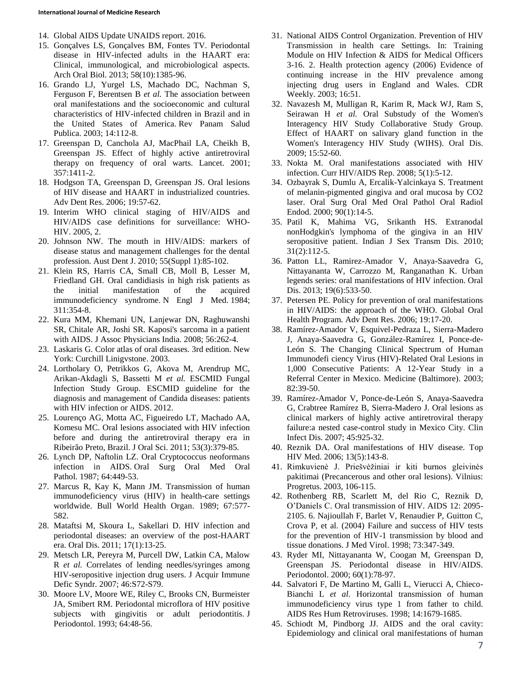- 14. Global AIDS Update UNAIDS report. 2016.
- 15. Gonçalves LS, Gonçalves BM, Fontes TV. Periodontal disease in HIV-infected adults in the HAART era: Clinical, immunological, and microbiological aspects. Arch Oral Biol. 2013; 58(10):1385-96.
- 16. Grando LJ, Yurgel LS, Machado DC, Nachman S, Ferguson F, Berentsen B *et al.* The association between oral manifestations and the socioeconomic and cultural characteristics of HIV-infected children in Brazil and in the United States of America. Rev Panam Salud Publica. 2003; 14:112-8.
- 17. Greenspan D, Canchola AJ, MacPhail LA, Cheikh B, Greenspan JS. Effect of highly active antiretroviral therapy on frequency of oral warts. Lancet. 2001; 357:1411-2.
- 18. Hodgson TA, Greenspan D, Greenspan JS. Oral lesions of HIV disease and HAART in industrialized countries. Adv Dent Res. 2006; 19:57-62.
- 19. Interim WHO clinical staging of HIV/AIDS and HIV/AIDS case definitions for surveillance: WHO-HIV. 2005, 2.
- 20. Johnson NW. The mouth in HIV/AIDS: markers of disease status and management challenges for the dental profession. Aust Dent J. 2010; 55(Suppl 1):85-102.
- 21. Klein RS, Harris CA, Small CB, Moll B, Lesser M, Friedland GH. Oral candidiasis in high risk patients as the initial manifestation of the acquired immunodeficiency syndrome. N Engl J Med. 1984; 311:354-8.
- 22. Kura MM, Khemani UN, Lanjewar DN, Raghuwanshi SR, Chitale AR, Joshi SR. Kaposi's sarcoma in a patient with AIDS. J Assoc Physicians India. 2008; 56:262-4.
- 23. Laskaris G. Color atlas of oral diseases. 3rd edition. New York: Curchill Linigvstone. 2003.
- 24. Lortholary O, Petrikkos G, Akova M, Arendrup MC, Arikan-Akdagli S, Bassetti M *et al.* ESCMID Fungal Infection Study Group. ESCMID guideline for the diagnosis and management of Candida diseases: patients with HIV infection or AIDS. 2012.
- 25. Lourenço AG, Motta AC, Figueiredo LT, Machado AA, Komesu MC. Oral lesions associated with HIV infection before and during the antiretroviral therapy era in Ribeirão Preto, Brazil. J Oral Sci. 2011; 53(3):379-85.
- 26. Lynch DP, Naftolin LZ. Oral Cryptococcus neoformans infection in AIDS. Oral Surg Oral Med Oral Pathol. 1987; 64:449-53.
- 27. Marcus R, Kay K, Mann JM. Transmission of human immunodeficiency virus (HIV) in health-care settings worldwide. Bull World Health Organ. 1989; 67:577- 582.
- 28. Mataftsi M, Skoura L, Sakellari D. HIV infection and periodontal diseases: an overview of the post-HAART era. Oral Dis. 2011; 17(1):13-25.
- 29. Metsch LR, Pereyra M, Purcell DW, Latkin CA, Malow R *et al.* Correlates of lending needles/syringes among HIV-seropositive injection drug users. J Acquir Immune Defic Syndr. 2007; 46:S72-S79.
- 30. Moore LV, Moore WE, Riley C, Brooks CN, Burmeister JA, Smibert RM. Periodontal microflora of HIV positive subjects with gingivitis or adult periodontitis. J Periodontol. 1993; 64:48-56.
- 31. National AIDS Control Organization. Prevention of HIV Transmission in health care Settings. In: Training Module on HIV Infection & AIDS for Medical Officers 3-16. 2. Health protection agency (2006) Evidence of continuing increase in the HIV prevalence among injecting drug users in England and Wales. CDR Weekly. 2003; 16:51.
- 32. Navazesh M, Mulligan R, Karim R, Mack WJ, Ram S, Seirawan H *et al.* Oral Substudy of the Women's Interagency HIV Study Collaborative Study Group. Effect of HAART on salivary gland function in the Women's Interagency HIV Study (WIHS). Oral Dis. 2009; 15:52-60.
- 33. Nokta M. Oral manifestations associated with HIV infection. Curr HIV/AIDS Rep. 2008; 5(1):5-12.
- 34. Ozbayrak S, Dumlu A, Ercalik-Yalcinkaya S. Treatment of melanin-pigmented gingiva and oral mucosa by CO2 laser. Oral Surg Oral Med Oral Pathol Oral Radiol Endod. 2000; 90(1):14-5.
- 35. Patil K, Mahima VG, Srikanth HS. Extranodal nonHodgkin's lymphoma of the gingiva in an HIV seropositive patient. Indian J Sex Transm Dis. 2010; 31(2):112-5.
- 36. Patton LL, Ramirez-Amador V, Anaya-Saavedra G, Nittayananta W, Carrozzo M, Ranganathan K. Urban legends series: oral manifestations of HIV infection. Oral Dis. 2013; 19(6):533-50.
- 37. Petersen PE. Policy for prevention of oral manifestations in HIV/AIDS: the approach of the WHO. Global Oral Health Program. Adv Dent Res. 2006; 19:17-20.
- 38. Ramírez-Amador V, Esquivel-Pedraza L, Sierra-Madero J, Anaya-Saavedra G, González-Ramírez I, Ponce-de-León S. The Changing Clinical Spectrum of Human Immunodefi ciency Virus (HIV)-Related Oral Lesions in 1,000 Consecutive Patients: A 12-Year Study in a Referral Center in Mexico. Medicine (Baltimore). 2003; 82:39-50.
- 39. Ramírez-Amador V, Ponce-de-León S, Anaya-Saavedra G, Crabtree Ramírez B, Sierra-Madero J. Oral lesions as clinical markers of highly active antiretroviral therapy failure:a nested case-control study in Mexico City. Clin Infect Dis. 2007; 45:925-32.
- 40. Reznik DA. Oral manifestations of HIV disease. Top HIV Med. 2006; 13(5):143-8.
- 41. Rimkuvienė J. Priešvėžiniai ir kiti burnos gleivinės pakitimai (Precancerous and other oral lesions). Vilnius: Progretus. 2003, 106-115.
- 42. Rothenberg RB, Scarlett M, del Rio C, Reznik D, O'Daniels C. Oral transmission of HIV. AIDS 12: 2095- 2105. 6. Najioullah F, Barlet V, Renaudier P, Guitton C, Crova P, et al. (2004) Failure and success of HIV tests for the prevention of HIV-1 transmission by blood and tissue donations. J Med Virol. 1998; 73:347-349.
- 43. Ryder MI, Nittayananta W, Coogan M, Greenspan D, Greenspan JS. Periodontal disease in HIV/AIDS. Periodontol. 2000; 60(1):78-97.
- 44. Salvatori F, De Martino M, Galli L, Vierucci A, Chieco-Bianchi L *et al.* Horizontal transmission of human immunodeficiency virus type 1 from father to child. AIDS Res Hum Retroviruses. 1998; 14:1679-1685.
- 45. Schiodt M, Pindborg JJ. AIDS and the oral cavity: Epidemiology and clinical oral manifestations of human